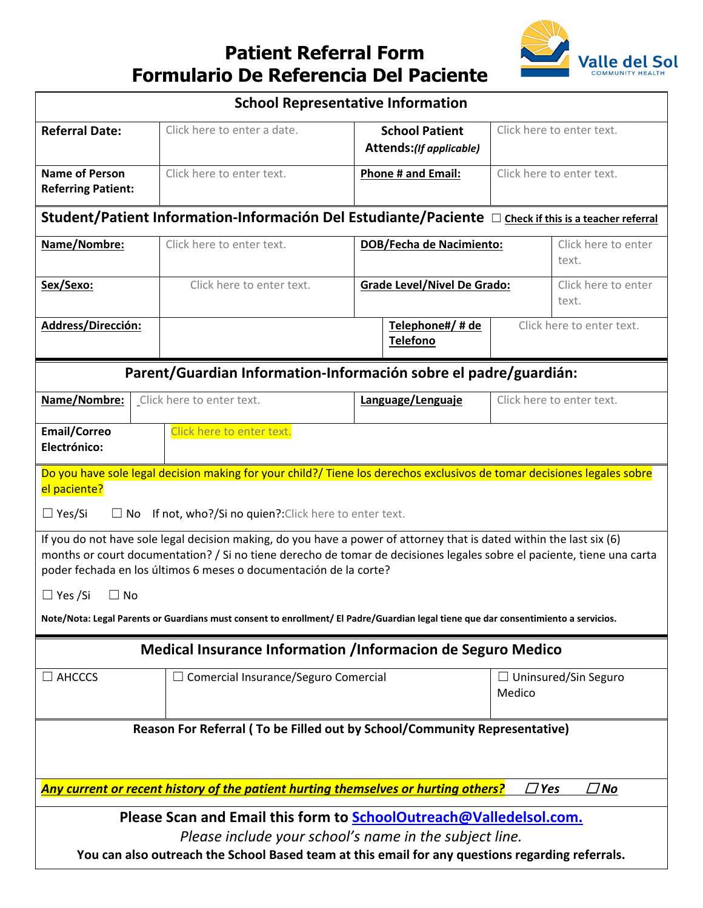## **Patient Referral Form Formulario De Referencia Del Paciente**



| <b>School Representative Information</b>                                                                                                                                                                                                                                                                            |                                             |                                                  |                                       |
|---------------------------------------------------------------------------------------------------------------------------------------------------------------------------------------------------------------------------------------------------------------------------------------------------------------------|---------------------------------------------|--------------------------------------------------|---------------------------------------|
| <b>Referral Date:</b>                                                                                                                                                                                                                                                                                               | Click here to enter a date.                 | <b>School Patient</b><br>Attends:(If applicable) | Click here to enter text.             |
| <b>Name of Person</b><br><b>Referring Patient:</b>                                                                                                                                                                                                                                                                  | Click here to enter text.                   | <b>Phone # and Email:</b>                        | Click here to enter text.             |
| Student/Patient Information-Información Del Estudiante/Paciente D Check if this is a teacher referral                                                                                                                                                                                                               |                                             |                                                  |                                       |
| Name/Nombre:                                                                                                                                                                                                                                                                                                        | Click here to enter text.                   | <b>DOB/Fecha de Nacimiento:</b>                  | Click here to enter<br>text.          |
| Sex/Sexo:                                                                                                                                                                                                                                                                                                           | Click here to enter text.                   | <b>Grade Level/Nivel De Grado:</b>               | Click here to enter<br>text.          |
| Address/Dirección:                                                                                                                                                                                                                                                                                                  |                                             | Telephone#/ # de<br><b>Telefono</b>              | Click here to enter text.             |
| Parent/Guardian Information-Información sobre el padre/guardián:                                                                                                                                                                                                                                                    |                                             |                                                  |                                       |
| Name/Nombre:                                                                                                                                                                                                                                                                                                        | Click here to enter text.                   | Language/Lenguaje                                | Click here to enter text.             |
| <b>Email/Correo</b><br>Click here to enter text.<br>Electrónico:                                                                                                                                                                                                                                                    |                                             |                                                  |                                       |
| Do you have sole legal decision making for your child?/ Tiene los derechos exclusivos de tomar decisiones legales sobre<br>el paciente?                                                                                                                                                                             |                                             |                                                  |                                       |
| $\Box$ Yes/Si<br>$\Box$ No If not, who?/Si no quien?: Click here to enter text.                                                                                                                                                                                                                                     |                                             |                                                  |                                       |
| If you do not have sole legal decision making, do you have a power of attorney that is dated within the last six (6)<br>months or court documentation? / Si no tiene derecho de tomar de decisiones legales sobre el paciente, tiene una carta<br>poder fechada en los últimos 6 meses o documentación de la corte? |                                             |                                                  |                                       |
| $\Box$ Yes /Si<br>$\Box$ No                                                                                                                                                                                                                                                                                         |                                             |                                                  |                                       |
| Note/Nota: Legal Parents or Guardians must consent to enrollment/ El Padre/Guardian legal tiene que dar consentimiento a servicios.                                                                                                                                                                                 |                                             |                                                  |                                       |
| <b>Medical Insurance Information /Informacion de Seguro Medico</b>                                                                                                                                                                                                                                                  |                                             |                                                  |                                       |
| $\Box$ AHCCCS                                                                                                                                                                                                                                                                                                       | $\Box$ Comercial Insurance/Seguro Comercial |                                                  | $\Box$ Uninsured/Sin Seguro<br>Medico |
| Reason For Referral (To be Filled out by School/Community Representative)                                                                                                                                                                                                                                           |                                             |                                                  |                                       |
|                                                                                                                                                                                                                                                                                                                     |                                             |                                                  |                                       |
| Any current or recent history of the patient hurting themselves or hurting others?<br>$\Box$ Yes<br>$\Box$ No                                                                                                                                                                                                       |                                             |                                                  |                                       |
| Please Scan and Email this form to SchoolOutreach@Valledelsol.com.                                                                                                                                                                                                                                                  |                                             |                                                  |                                       |
| Please include your school's name in the subject line.<br>You can also outreach the School Based team at this email for any questions regarding referrals.                                                                                                                                                          |                                             |                                                  |                                       |